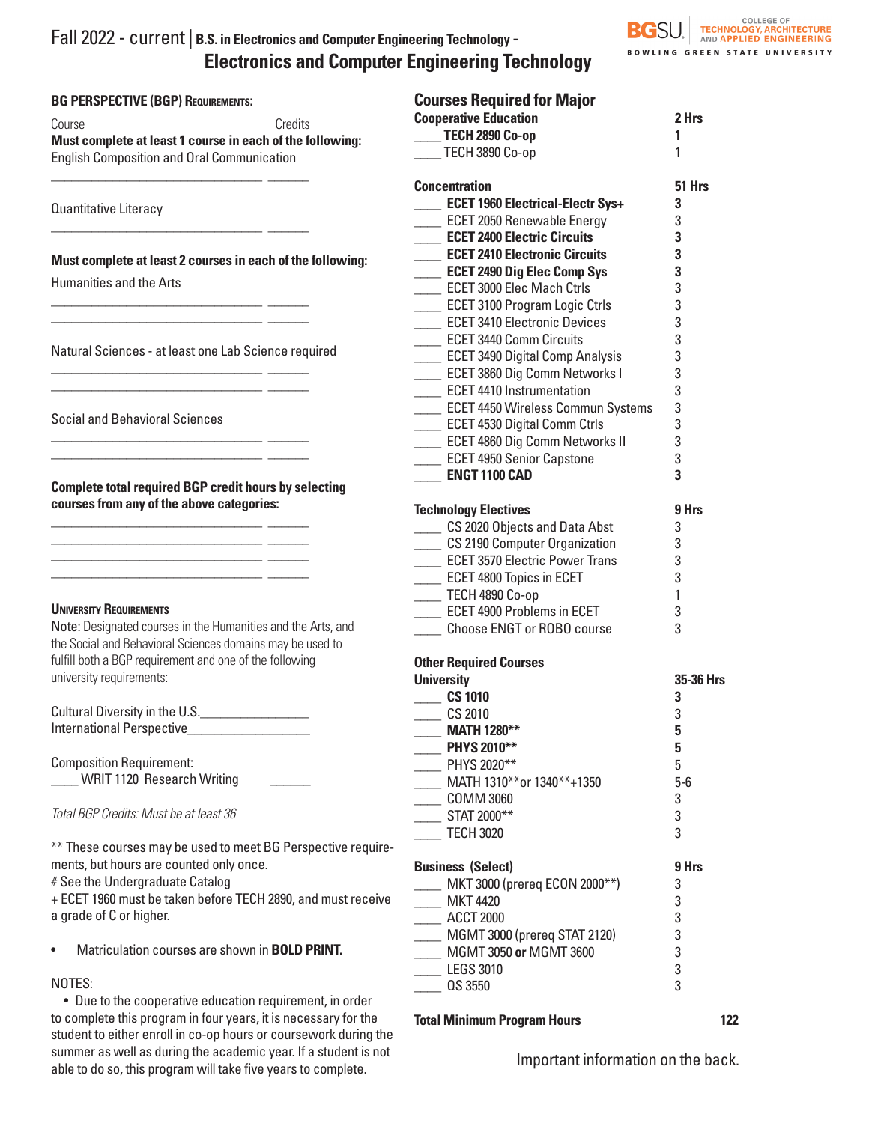# Fall 2022 - current | **B.S. in Electronics and Computer Engineering Technology - Electronics and Computer Engineering Technology**

| <b>BG PERSPECTIVE (BGP) REQUIREMENTS:</b>                        | <b>Courses Required for Major</b>       |           |
|------------------------------------------------------------------|-----------------------------------------|-----------|
| Credits<br>Course                                                | <b>Cooperative Education</b>            | 2 Hrs     |
| Must complete at least 1 course in each of the following:        | <b>TECH 2890 Co-op</b>                  | 1         |
| <b>English Composition and Oral Communication</b>                | TECH 3890 Co-op                         | 1         |
|                                                                  | <b>Concentration</b>                    | 51 Hrs    |
| Quantitative Literacy                                            | <b>ECET 1960 Electrical-Electr Sys+</b> | 3         |
|                                                                  | <b>LECET 2050 Renewable Energy</b>      | 3         |
|                                                                  | <b>ECET 2400 Electric Circuits</b>      | 3         |
|                                                                  | <b>ECET 2410 Electronic Circuits</b>    | 3         |
| Must complete at least 2 courses in each of the following:       | <b>LECET 2490 Dig Elec Comp Sys</b>     | 3         |
| Humanities and the Arts                                          | <b>ECET 3000 Elec Mach Ctrls</b>        | 3         |
|                                                                  | <b>LECET 3100 Program Logic Ctrls</b>   | 3         |
|                                                                  | <b>ECET 3410 Electronic Devices</b>     | 3         |
|                                                                  | <b>ECET 3440 Comm Circuits</b>          | 3         |
| Natural Sciences - at least one Lab Science required             | <b>LECET 3490 Digital Comp Analysis</b> | 3         |
|                                                                  | <b>LECET 3860 Dig Comm Networks I</b>   | 3         |
|                                                                  | <b>ECET 4410 Instrumentation</b>        | 3         |
|                                                                  | ECET 4450 Wireless Commun Systems       | 3         |
| <b>Social and Behavioral Sciences</b>                            | <b>LECET 4530 Digital Comm Ctrls</b>    | 3         |
|                                                                  | <b>LECET 4860 Dig Comm Networks II</b>  | 3         |
|                                                                  | <b>LECET 4950 Senior Capstone</b>       | 3         |
|                                                                  | <b>ENGT 1100 CAD</b>                    | 3         |
| <b>Complete total required BGP credit hours by selecting</b>     |                                         |           |
| courses from any of the above categories:                        | <b>Technology Electives</b>             | 9 Hrs     |
|                                                                  | ____ CS 2020 Objects and Data Abst      | 3         |
|                                                                  | CS 2190 Computer Organization           | 3         |
|                                                                  | <b>LECET 3570 Electric Power Trans</b>  | 3         |
|                                                                  | <b>LECET 4800 Topics in ECET</b>        | 3         |
|                                                                  | TECH 4890 Co-op                         | 1         |
| <b>UNIVERSITY REQUIREMENTS</b>                                   | <b>LECET 4900 Problems in ECET</b>      | 3         |
| Note: Designated courses in the Humanities and the Arts, and     | <b>Choose ENGT or ROBO course</b>       | 3         |
| the Social and Behavioral Sciences domains may be used to        |                                         |           |
| fulfill both a BGP requirement and one of the following          | <b>Other Required Courses</b>           |           |
| university requirements:                                         | <b>University</b>                       | 35-36 Hrs |
|                                                                  | <b>CS 1010</b>                          | 3         |
| Cultural Diversity in the U.S.                                   | CS 2010                                 | 3         |
| International Perspective_                                       | <b>MATH 1280**</b>                      | 5         |
|                                                                  | PHYS 2010**                             | 5         |
| <b>Composition Requirement:</b>                                  | PHYS 2020**                             | 5         |
| <b>WRIT 1120 Research Writing</b>                                | MATH 1310**or 1340**+1350               | $5-6$     |
|                                                                  | <b>COMM 3060</b>                        | 3         |
| Total BGP Credits: Must be at least 36                           | STAT 2000**                             | 3         |
|                                                                  | <b>TECH 3020</b>                        | 3         |
| ** These courses may be used to meet BG Perspective require-     |                                         |           |
| ments, but hours are counted only once.                          | <b>Business (Select)</b>                | 9 Hrs     |
| # See the Undergraduate Catalog                                  | MKT 3000 (prereq ECON 2000**)           | 3         |
| + ECET 1960 must be taken before TECH 2890, and must receive     | <b>MKT 4420</b>                         | 3         |
| a grade of C or higher.                                          | <b>ACCT 2000</b>                        | 3         |
|                                                                  | MGMT 3000 (prereq STAT 2120)            | 3         |
| Matriculation courses are shown in <b>BOLD PRINT</b> .           | MGMT 3050 or MGMT 3600                  | 3         |
|                                                                  | <b>LEGS 3010</b>                        | 3         |
| NOTES:                                                           | QS 3550                                 | 3         |
| • Due to the cooperative education requirement, in order         |                                         |           |
| to complete this program in four years, it is necessary for the  | <b>Total Minimum Program Hours</b>      | 122       |
| student to either enroll in co-op hours or coursework during the |                                         |           |

summer as well as during the academic year. If a student is not able to do so, this program will take five years to complete.

Important information on the back.